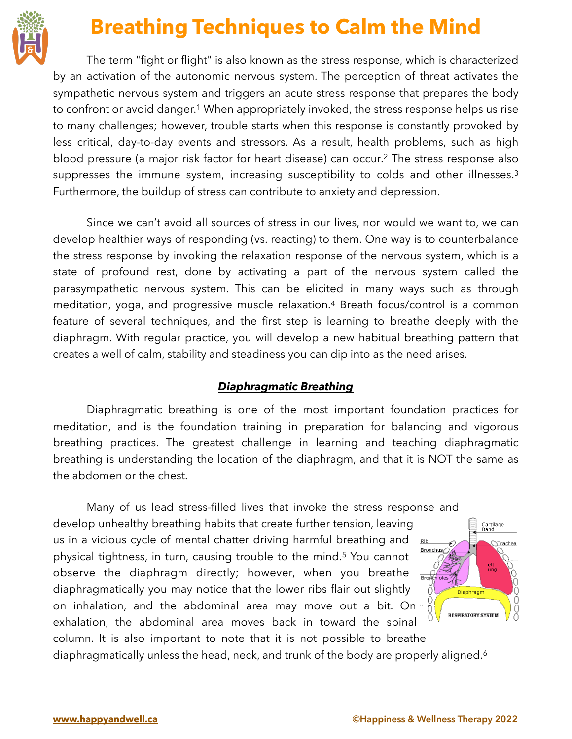

## <span id="page-0-0"></span>**Breathing Techniques to Calm the Mind**

The term "fight or flight" is also known as the stress response, which is characterized by an activation of the autonomic nervous system. The perception of threat activates the sympathetic nervous system and triggers an acute stress response that prepares the body to confront or avoid danger.<sup>[1](#page-1-0)</sup> When appropriately invoked, the stress response helps us rise to many challenges; however, trouble starts when this response is constantly provoked by less critical, day-to-day events and stressors. As a result, health problems, such as high blood pressure (a major risk factor for heart disease) can occur.<sup>[2](#page-1-1)</sup> The stress response also suppresses the immune system, increasing susceptibility to colds and other illnesses.<sup>[3](#page-1-2)</sup> Furthermore, the buildup of stress can contribute to anxiety and depression.

Since we can't avoid all sources of stress in our lives, nor would we want to, we can develop healthier ways of responding (vs. reacting) to them. One way is to counterbalance the stress response by invoking the relaxation response of the nervous system, which is a state of profound rest, done by activating a part of the nervous system called the parasympathetic nervous system. This can be elicited in many ways such as through meditation, yoga, and progressive muscle relaxation.<sup>[4](#page-1-3)</sup> Breath focus/control is a common feature of several techniques, and the first step is learning to breathe deeply with the diaphragm. With regular practice, you will develop a new habitual breathing pattern that creates a well of calm, stability and steadiness you can dip into as the need arises.

## <span id="page-0-3"></span><span id="page-0-1"></span>*Diaphragmatic Breathing*

Diaphragmatic breathing is one of the most important foundation practices for meditation, and is the foundation training in preparation for balancing and vigorous breathing practices. The greatest challenge in learning and teaching diaphragmatic breathing is understanding the location of the diaphragm, and that it is NOT the same as the abdomen or the chest.

Many of us lead stress-filled lives that invoke the stress response and develop unhealthy breathing habits that create further tension, leaving us in a vicious cycle of mental chatter driving harmful breathing and Rib physical tightness, in turn, causing trouble to the mind.<sup>[5](#page-1-4)</sup> You cannot observe the diaphragm directly; however, when you breathe Broad diaphragmatically you may notice that the lower ribs flair out slightly on inhalation, and the abdominal area may move out a bit. On exhalation, the abdominal area moves back in toward the spinal column. It is also important to note that it is not possible to breathe

diaphragmatically unless the head, neck, and trunk of the body are properly aligned.<sup>6</sup>

<span id="page-0-2"></span>Cartilage<br>Band

Left<br>Lung

<span id="page-0-4"></span>Diaphragm

<span id="page-0-5"></span>**RESPIRATORY SYSTE** 

Trachea

Ŏ